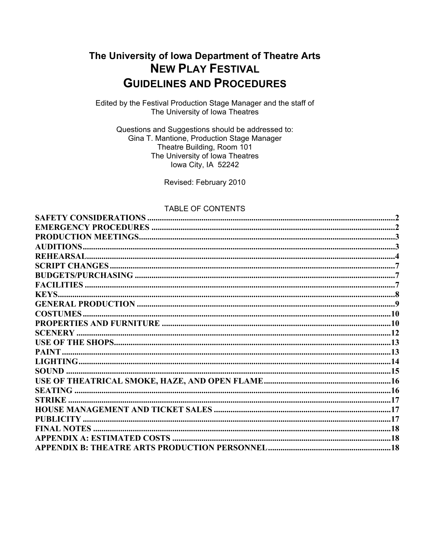# The University of Iowa Department of Theatre Arts **NEW PLAY FESTIVAL GUIDELINES AND PROCEDURES**

Edited by the Festival Production Stage Manager and the staff of The University of Iowa Theatres

Questions and Suggestions should be addressed to: Gina T. Mantione, Production Stage Manager Theatre Building, Room 101 The University of Iowa Theatres lowa City, IA 52242

Revised: February 2010

#### **TABLE OF CONTENTS**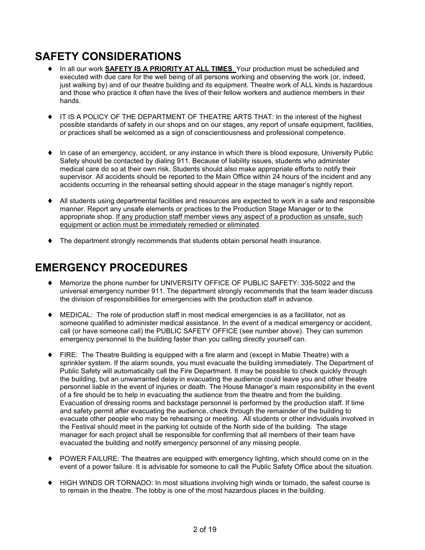# **SAFETY CONSIDERATIONS**

- ♦ In all our work **SAFETY IS A PRIORITY AT ALL TIMES**. Your production must be scheduled and executed with due care for the well being of all persons working and observing the work (or, indeed, just walking by) and of our theatre building and its equipment. Theatre work of ALL kinds is hazardous and those who practice it often have the lives of their fellow workers and audience members in their hands.
- ♦ IT IS A POLICY OF THE DEPARTMENT OF THEATRE ARTS THAT: In the interest of the highest possible standards of safety in our shops and on our stages, any report of unsafe equipment, facilities, or practices shall be welcomed as a sign of conscientiousness and professional competence.
- ♦ In case of an emergency, accident, or any instance in which there is blood exposure, University Public Safety should be contacted by dialing 911. Because of liability issues, students who administer medical care do so at their own risk. Students should also make appropriate efforts to notify their supervisor. All accidents should be reported to the Main Office within 24 hours of the incident and any accidents occurring in the rehearsal setting should appear in the stage manager's nightly report.
- ♦ All students using departmental facilities and resources are expected to work in a safe and responsible manner. Report any unsafe elements or practices to the Production Stage Manager or to the appropriate shop. If any production staff member views any aspect of a production as unsafe, such equipment or action must be immediately remedied or eliminated.
- ♦ The department strongly recommends that students obtain personal heath insurance.

# **EMERGENCY PROCEDURES**

- ♦ Memorize the phone number for UNIVERSITY OFFICE OF PUBLIC SAFETY: 335-5022 and the universal emergency number 911. The department strongly recommends that the team leader discuss the division of responsibilities for emergencies with the production staff in advance.
- $\blacklozenge$  MEDICAL: The role of production staff in most medical emergencies is as a facilitator, not as someone qualified to administer medical assistance. In the event of a medical emergency or accident, call (or have someone call) the PUBLIC SAFETY OFFICE (see number above). They can summon emergency personnel to the building faster than you calling directly yourself can.
- ♦ FIRE: The Theatre Building is equipped with a fire alarm and (except in Mabie Theatre) with a sprinkler system. If the alarm sounds, you must evacuate the building immediately. The Department of Public Safety will automatically call the Fire Department. It may be possible to check quickly through the building, but an unwarranted delay in evacuating the audience could leave you and other theatre personnel liable in the event of injuries or death. The House Manager's main responsibility in the event of a fire should be to help in evacuating the audience from the theatre and from the building. Evacuation of dressing rooms and backstage personnel is performed by the production staff. If time and safety permit after evacuating the audience, check through the remainder of the building to evacuate other people who may be rehearsing or meeting. All students or other individuals involved in the Festival should meet in the parking lot outside of the North side of the building. The stage manager for each project shall be responsible for confirming that all members of their team have evacuated the building and notify emergency personnel of any missing people.
- ♦ POWER FAILURE: The theatres are equipped with emergency lighting, which should come on in the event of a power failure. It is advisable for someone to call the Public Safety Office about the situation.
- ♦ HIGH WINDS OR TORNADO: In most situations involving high winds or tornado, the safest course is to remain in the theatre. The lobby is one of the most hazardous places in the building.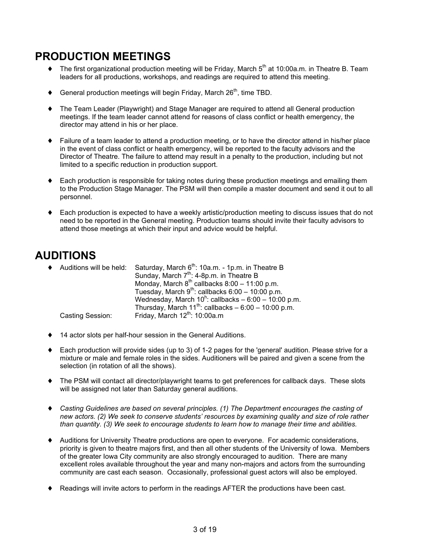## **PRODUCTION MEETINGS**

- $\blacklozenge$  The first organizational production meeting will be Friday, March  $5^{\text{th}}$  at 10:00a.m. in Theatre B. Team leaders for all productions, workshops, and readings are required to attend this meeting.
- $\blacklozenge$  General production meetings will begin Friday, March 26<sup>th</sup>, time TBD.
- The Team Leader (Playwright) and Stage Manager are required to attend all General production meetings. If the team leader cannot attend for reasons of class conflict or health emergency, the director may attend in his or her place.
- ♦ Failure of a team leader to attend a production meeting, or to have the director attend in his/her place in the event of class conflict or health emergency, will be reported to the faculty advisors and the Director of Theatre. The failure to attend may result in a penalty to the production, including but not limited to a specific reduction in production support.
- Each production is responsible for taking notes during these production meetings and emailing them to the Production Stage Manager. The PSM will then compile a master document and send it out to all personnel.
- Each production is expected to have a weekly artistic/production meeting to discuss issues that do not need to be reported in the General meeting. Production teams should invite their faculty advisors to attend those meetings at which their input and advice would be helpful.

## **AUDITIONS**

| ♦ Auditions will be held: | Saturday, March 6 <sup>th</sup> : 10a.m. - 1p.m. in Theatre B |
|---------------------------|---------------------------------------------------------------|
|                           | Sunday, March 7 <sup>th</sup> : 4-8p.m. in Theatre B          |
|                           | Monday, March $8^{th}$ callbacks $8:00 - 11:00$ p.m.          |
|                           | Tuesday, March $9^{th}$ : callbacks 6:00 – 10:00 p.m.         |
|                           | Wednesday, March $10^h$ : callbacks – 6:00 – 10:00 p.m.       |
|                           | Thursday, March $11^{th}$ : callbacks $-6.00 - 10.00$ p.m.    |
| Casting Session:          | Friday, March $12^{th}$ : 10:00a.m                            |

- 14 actor slots per half-hour session in the General Auditions.
- Each production will provide sides (up to 3) of 1-2 pages for the 'general' audition. Please strive for a mixture or male and female roles in the sides. Auditioners will be paired and given a scene from the selection (in rotation of all the shows).
- ♦ The PSM will contact all director/playwright teams to get preferences for callback days. These slots will be assigned not later than Saturday general auditions.
- ♦ *Casting Guidelines are based on several principles. (1) The Department encourages the casting of new actors. (2) We seek to conserve students' resources by examining quality and size of role rather than quantity. (3) We seek to encourage students to learn how to manage their time and abilities.*
- Auditions for University Theatre productions are open to everyone. For academic considerations, priority is given to theatre majors first, and then all other students of the University of Iowa. Members of the greater Iowa City community are also strongly encouraged to audition. There are many excellent roles available throughout the year and many non-majors and actors from the surrounding community are cast each season. Occasionally, professional guest actors will also be employed.
- Readings will invite actors to perform in the readings AFTER the productions have been cast.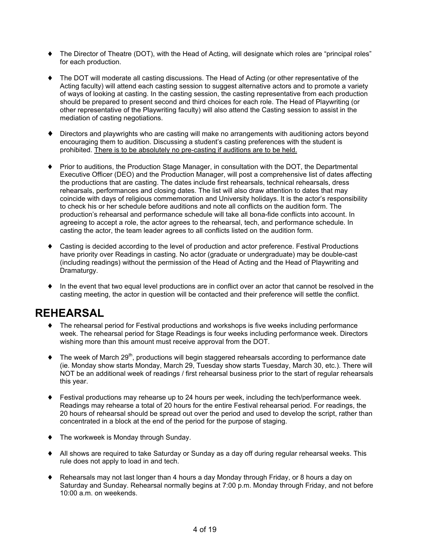- ♦ The Director of Theatre (DOT), with the Head of Acting, will designate which roles are "principal roles" for each production.
- ♦ The DOT will moderate all casting discussions. The Head of Acting (or other representative of the Acting faculty) will attend each casting session to suggest alternative actors and to promote a variety of ways of looking at casting. In the casting session, the casting representative from each production should be prepared to present second and third choices for each role. The Head of Playwriting (or other representative of the Playwriting faculty) will also attend the Casting session to assist in the mediation of casting negotiations.
- Directors and playwrights who are casting will make no arrangements with auditioning actors beyond encouraging them to audition. Discussing a student's casting preferences with the student is prohibited. There is to be absolutely no pre-casting if auditions are to be held.
- ♦ Prior to auditions, the Production Stage Manager, in consultation with the DOT, the Departmental Executive Officer (DEO) and the Production Manager, will post a comprehensive list of dates affecting the productions that are casting. The dates include first rehearsals, technical rehearsals, dress rehearsals, performances and closing dates. The list will also draw attention to dates that may coincide with days of religious commemoration and University holidays. It is the actor's responsibility to check his or her schedule before auditions and note all conflicts on the audition form. The production's rehearsal and performance schedule will take all bona-fide conflicts into account. In agreeing to accept a role, the actor agrees to the rehearsal, tech, and performance schedule. In casting the actor, the team leader agrees to all conflicts listed on the audition form.
- ♦ Casting is decided according to the level of production and actor preference. Festival Productions have priority over Readings in casting. No actor (graduate or undergraduate) may be double-cast (including readings) without the permission of the Head of Acting and the Head of Playwriting and Dramaturgy.
- ♦ In the event that two equal level productions are in conflict over an actor that cannot be resolved in the casting meeting, the actor in question will be contacted and their preference will settle the conflict.

# **REHEARSAL**

- ♦ The rehearsal period for Festival productions and workshops is five weeks including performance week. The rehearsal period for Stage Readings is four weeks including performance week. Directors wishing more than this amount must receive approval from the DOT.
- $\blacklozenge$  The week of March 29<sup>th</sup>, productions will begin staggered rehearsals according to performance date (ie. Monday show starts Monday, March 29, Tuesday show starts Tuesday, March 30, etc.). There will NOT be an additional week of readings / first rehearsal business prior to the start of regular rehearsals this year.
- ♦ Festival productions may rehearse up to 24 hours per week, including the tech/performance week. Readings may rehearse a total of 20 hours for the entire Festival rehearsal period. For readings, the 20 hours of rehearsal should be spread out over the period and used to develop the script, rather than concentrated in a block at the end of the period for the purpose of staging.
- ♦ The workweek is Monday through Sunday.
- ♦ All shows are required to take Saturday or Sunday as a day off during regular rehearsal weeks. This rule does not apply to load in and tech.
- ♦ Rehearsals may not last longer than 4 hours a day Monday through Friday, or 8 hours a day on Saturday and Sunday. Rehearsal normally begins at 7:00 p.m. Monday through Friday, and not before 10:00 a.m. on weekends.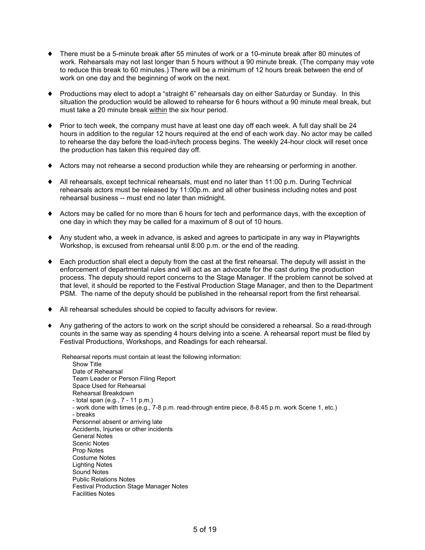- ♦ There must be a 5-minute break after 55 minutes of work or a 10-minute break after 80 minutes of work. Rehearsals may not last longer than 5 hours without a 90 minute break. (The company may vote to reduce this break to 60 minutes.) There will be a minimum of 12 hours break between the end of work on one day and the beginning of work on the next.
- ♦ Productions may elect to adopt a "straight 6" rehearsals day on either Saturday or Sunday. In this situation the production would be allowed to rehearse for 6 hours without a 90 minute meal break, but must take a 20 minute break within the six hour period.
- ♦ Prior to tech week, the company must have at least one day off each week. A full day shall be 24 hours in addition to the regular 12 hours required at the end of each work day. No actor may be called to rehearse the day before the load-in/tech process begins. The weekly 24-hour clock will reset once the production has taken this required day off.
- ♦ Actors may not rehearse a second production while they are rehearsing or performing in another.
- ♦ All rehearsals, except technical rehearsals, must end no later than 11:00 p.m. During Technical rehearsals actors must be released by 11:00p.m. and all other business including notes and post rehearsal business -- must end no later than midnight.
- ♦ Actors may be called for no more than 6 hours for tech and performance days, with the exception of one day in which they may be called for a maximum of 8 out of 10 hours.
- ♦ Any student who, a week in advance, is asked and agrees to participate in any way in Playwrights Workshop, is excused from rehearsal until 8:00 p.m. or the end of the reading.
- ♦ Each production shall elect a deputy from the cast at the first rehearsal. The deputy will assist in the enforcement of departmental rules and will act as an advocate for the cast during the production process. The deputy should report concerns to the Stage Manager. If the problem cannot be solved at that level, it should be reported to the Festival Production Stage Manager, and then to the Department PSM. The name of the deputy should be published in the rehearsal report from the first rehearsal.
- ♦ All rehearsal schedules should be copied to faculty advisors for review.
- ♦ Any gathering of the actors to work on the script should be considered a rehearsal. So a read-through counts in the same way as spending 4 hours delving into a scene. A rehearsal report must be filed by Festival Productions, Workshops, and Readings for each rehearsal.

Rehearsal reports must contain at least the following information: Show Title Date of Rehearsal Team Leader or Person Filing Report Space Used for Rehearsal Rehearsal Breakdown - total span (e.g., 7 - 11 p.m.) - work done with times (e.g., 7-8 p.m. read-through entire piece, 8-8:45 p.m. work Scene 1, etc.) - breaks Personnel absent or arriving late Accidents, Injuries or other incidents General Notes Scenic Notes Prop Notes Costume Notes Lighting Notes Sound Notes Public Relations Notes Festival Production Stage Manager Notes Facilities Notes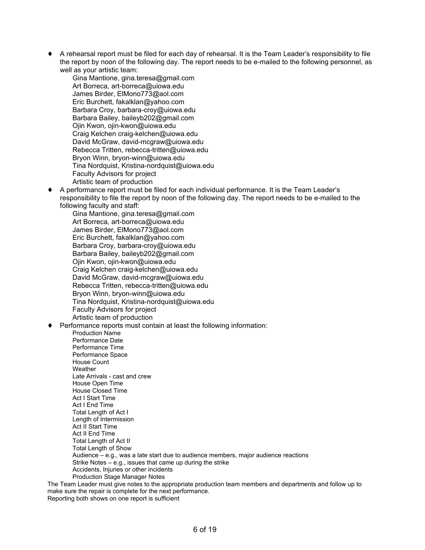♦ A rehearsal report must be filed for each day of rehearsal. It is the Team Leader's responsibility to file the report by noon of the following day. The report needs to be e-mailed to the following personnel, as well as your artistic team:

Gina Mantione, gina.teresa@gmail.com Art Borreca, art-borreca@uiowa.edu James Birder, ElMono773@aol.com Eric Burchett, fakalklan@yahoo.com Barbara Croy, barbara-croy@uiowa.edu Barbara Bailey, baileyb202@gmail.com Ojin Kwon, ojin-kwon@uiowa.edu Craig Kelchen craig-kelchen@uiowa.edu David McGraw, david-mcgraw@uiowa.edu Rebecca Tritten, rebecca-tritten@uiowa.edu Bryon Winn, bryon-winn@uiowa.edu Tina Nordquist, Kristina-nordquist@uiowa.edu Faculty Advisors for project Artistic team of production

♦ A performance report must be filed for each individual performance. It is the Team Leader's responsibility to file the report by noon of the following day. The report needs to be e-mailed to the following faculty and staff:

Gina Mantione, gina.teresa@gmail.com Art Borreca, art-borreca@uiowa.edu James Birder, ElMono773@aol.com Eric Burchett, fakalklan@yahoo.com Barbara Croy, barbara-croy@uiowa.edu Barbara Bailey, baileyb202@gmail.com Ojin Kwon, ojin-kwon@uiowa.edu Craig Kelchen craig-kelchen@uiowa.edu David McGraw, david-mcgraw@uiowa.edu Rebecca Tritten, rebecca-tritten@uiowa.edu Bryon Winn, bryon-winn@uiowa.edu Tina Nordquist, Kristina-nordquist@uiowa.edu Faculty Advisors for project Artistic team of production

Performance reports must contain at least the following information:

Production Name Performance Date Performance Time Performance Space House Count **Weather** Late Arrivals - cast and crew House Open Time House Closed Time Act I Start Time Act I End Time Total Length of Act I Length of Intermission Act II Start Time Act II End Time Total Length of Act II Total Length of Show Audience – e.g., was a late start due to audience members, major audience reactions Strike Notes – e.g., issues that came up during the strike Accidents, Injuries or other incidents Production Stage Manager Notes

The Team Leader must give notes to the appropriate production team members and departments and follow up to make sure the repair is complete for the next performance. Reporting both shows on one report is sufficient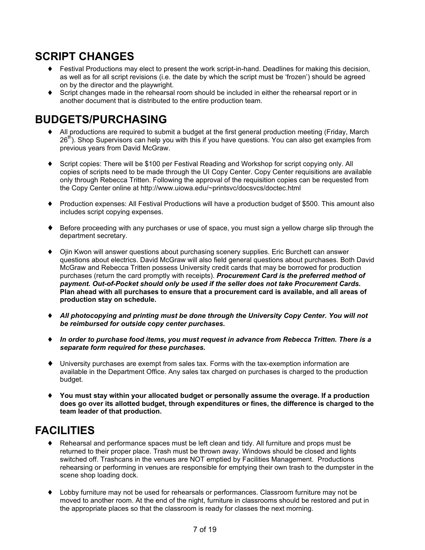## **SCRIPT CHANGES**

- ♦ Festival Productions may elect to present the work script-in-hand. Deadlines for making this decision, as well as for all script revisions (i.e. the date by which the script must be 'frozen') should be agreed on by the director and the playwright.
- Script changes made in the rehearsal room should be included in either the rehearsal report or in another document that is distributed to the entire production team.

# **BUDGETS/PURCHASING**

- ♦ All productions are required to submit a budget at the first general production meeting (Friday, March 26<sup>th</sup>). Shop Supervisors can help you with this if you have questions. You can also get examples from previous years from David McGraw.
- ♦ Script copies: There will be \$100 per Festival Reading and Workshop for script copying only. All copies of scripts need to be made through the UI Copy Center. Copy Center requisitions are available only through Rebecca Tritten. Following the approval of the requisition copies can be requested from the Copy Center online at http://www.uiowa.edu/~printsvc/docsvcs/doctec.html
- ♦ Production expenses: All Festival Productions will have a production budget of \$500. This amount also includes script copying expenses.
- ♦ Before proceeding with any purchases or use of space, you must sign a yellow charge slip through the department secretary.
- ♦ Ojin Kwon will answer questions about purchasing scenery supplies. Eric Burchett can answer questions about electrics. David McGraw will also field general questions about purchases. Both David McGraw and Rebecca Tritten possess University credit cards that may be borrowed for production purchases (return the card promptly with receipts). *Procurement Card is the preferred method of payment. Out-of-Pocket should only be used if the seller does not take Procurement Cards.* **Plan ahead with all purchases to ensure that a procurement card is available, and all areas of production stay on schedule.**
- ♦ *All photocopying and printing must be done through the University Copy Center. You will not be reimbursed for outside copy center purchases.*
- ♦ *In order to purchase food items, you must request in advance from Rebecca Tritten. There is a separate form required for these purchases.*
- ♦ University purchases are exempt from sales tax. Forms with the tax-exemption information are available in the Department Office. Any sales tax charged on purchases is charged to the production budget.
- ♦ **You must stay within your allocated budget or personally assume the overage. If a production does go over its allotted budget, through expenditures or fines, the difference is charged to the team leader of that production.**

# **FACILITIES**

- ♦ Rehearsal and performance spaces must be left clean and tidy. All furniture and props must be returned to their proper place. Trash must be thrown away. Windows should be closed and lights switched off. Trashcans in the venues are NOT emptied by Facilities Management. Productions rehearsing or performing in venues are responsible for emptying their own trash to the dumpster in the scene shop loading dock.
- ♦ Lobby furniture may not be used for rehearsals or performances. Classroom furniture may not be moved to another room. At the end of the night, furniture in classrooms should be restored and put in the appropriate places so that the classroom is ready for classes the next morning.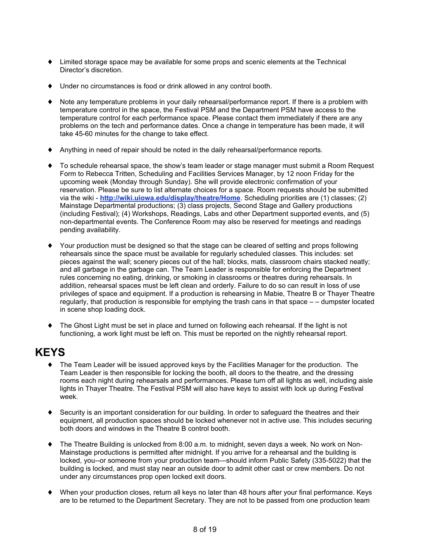- ♦ Limited storage space may be available for some props and scenic elements at the Technical Director's discretion.
- Under no circumstances is food or drink allowed in any control booth.
- ♦ Note any temperature problems in your daily rehearsal/performance report. If there is a problem with temperature control in the space, the Festival PSM and the Department PSM have access to the temperature control for each performance space. Please contact them immediately if there are any problems on the tech and performance dates. Once a change in temperature has been made, it will take 45-60 minutes for the change to take effect.
- Anything in need of repair should be noted in the daily rehearsal/performance reports.
- ♦ To schedule rehearsal space, the show's team leader or stage manager must submit a Room Request Form to Rebecca Tritten, Scheduling and Facilities Services Manager, by 12 noon Friday for the upcoming week (Monday through Sunday). She will provide electronic confirmation of your reservation. Please be sure to list alternate choices for a space. Room requests should be submitted via the wiki - **http://wiki.uiowa.edu/display/theatre/Home**. Scheduling priorities are (1) classes; (2) Mainstage Departmental productions; (3) class projects, Second Stage and Gallery productions (including Festival); (4) Workshops, Readings, Labs and other Department supported events, and (5) non-departmental events. The Conference Room may also be reserved for meetings and readings pending availability.
- ♦ Your production must be designed so that the stage can be cleared of setting and props following rehearsals since the space must be available for regularly scheduled classes. This includes: set pieces against the wall; scenery pieces out of the hall; blocks, mats, classroom chairs stacked neatly; and all garbage in the garbage can. The Team Leader is responsible for enforcing the Department rules concerning no eating, drinking, or smoking in classrooms or theatres during rehearsals. In addition, rehearsal spaces must be left clean and orderly. Failure to do so can result in loss of use privileges of space and equipment. If a production is rehearsing in Mabie, Theatre B or Thayer Theatre regularly, that production is responsible for emptying the trash cans in that space – – dumpster located in scene shop loading dock.
- ♦ The Ghost Light must be set in place and turned on following each rehearsal. If the light is not functioning, a work light must be left on. This must be reported on the nightly rehearsal report.

#### **KEYS**

- ♦ The Team Leader will be issued approved keys by the Facilities Manager for the production. The Team Leader is then responsible for locking the booth, all doors to the theatre, and the dressing rooms each night during rehearsals and performances. Please turn off all lights as well, including aisle lights in Thayer Theatre. The Festival PSM will also have keys to assist with lock up during Festival week.
- Security is an important consideration for our building. In order to safeguard the theatres and their equipment, all production spaces should be locked whenever not in active use. This includes securing both doors and windows in the Theatre B control booth.
- ♦ The Theatre Building is unlocked from 8:00 a.m. to midnight, seven days a week. No work on Non-Mainstage productions is permitted after midnight. If you arrive for a rehearsal and the building is locked, you--or someone from your production team—should inform Public Safety (335-5022) that the building is locked, and must stay near an outside door to admit other cast or crew members. Do not under any circumstances prop open locked exit doors.
- When your production closes, return all keys no later than 48 hours after your final performance. Keys are to be returned to the Department Secretary. They are not to be passed from one production team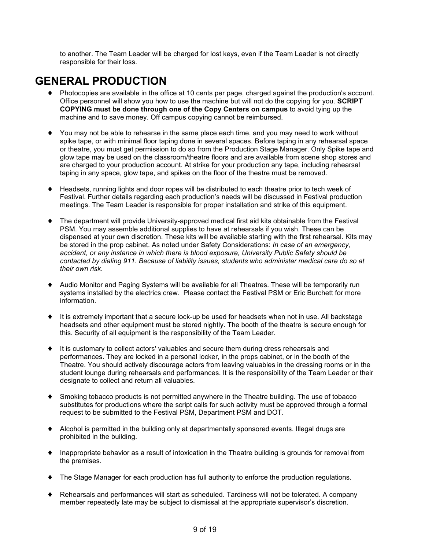to another. The Team Leader will be charged for lost keys, even if the Team Leader is not directly responsible for their loss.

# **GENERAL PRODUCTION**

- Photocopies are available in the office at 10 cents per page, charged against the production's account. Office personnel will show you how to use the machine but will not do the copying for you. **SCRIPT COPYING must be done through one of the Copy Centers on campus** to avoid tying up the machine and to save money. Off campus copying cannot be reimbursed.
- ♦ You may not be able to rehearse in the same place each time, and you may need to work without spike tape, or with minimal floor taping done in several spaces. Before taping in any rehearsal space or theatre, you must get permission to do so from the Production Stage Manager. Only Spike tape and glow tape may be used on the classroom/theatre floors and are available from scene shop stores and are charged to your production account. At strike for your production any tape, including rehearsal taping in any space, glow tape, and spikes on the floor of the theatre must be removed.
- Headsets, running lights and door ropes will be distributed to each theatre prior to tech week of Festival. Further details regarding each production's needs will be discussed in Festival production meetings. The Team Leader is responsible for proper installation and strike of this equipment.
- The department will provide University-approved medical first aid kits obtainable from the Festival PSM. You may assemble additional supplies to have at rehearsals if you wish. These can be dispensed at your own discretion. These kits will be available starting with the first rehearsal. Kits may be stored in the prop cabinet. As noted under Safety Considerations: *In case of an emergency, accident, or any instance in which there is blood exposure, University Public Safety should be contacted by dialing 911. Because of liability issues, students who administer medical care do so at their own risk*.
- Audio Monitor and Paging Systems will be available for all Theatres. These will be temporarily run systems installed by the electrics crew. Please contact the Festival PSM or Eric Burchett for more information.
- It is extremely important that a secure lock-up be used for headsets when not in use. All backstage headsets and other equipment must be stored nightly. The booth of the theatre is secure enough for this. Security of all equipment is the responsibility of the Team Leader.
- ♦ It is customary to collect actors' valuables and secure them during dress rehearsals and performances. They are locked in a personal locker, in the props cabinet, or in the booth of the Theatre. You should actively discourage actors from leaving valuables in the dressing rooms or in the student lounge during rehearsals and performances. It is the responsibility of the Team Leader or their designate to collect and return all valuables.
- ♦ Smoking tobacco products is not permitted anywhere in the Theatre building. The use of tobacco substitutes for productions where the script calls for such activity must be approved through a formal request to be submitted to the Festival PSM, Department PSM and DOT.
- ♦ Alcohol is permitted in the building only at departmentally sponsored events. Illegal drugs are prohibited in the building.
- Inappropriate behavior as a result of intoxication in the Theatre building is grounds for removal from the premises.
- The Stage Manager for each production has full authority to enforce the production regulations.
- ♦ Rehearsals and performances will start as scheduled. Tardiness will not be tolerated. A company member repeatedly late may be subject to dismissal at the appropriate supervisor's discretion.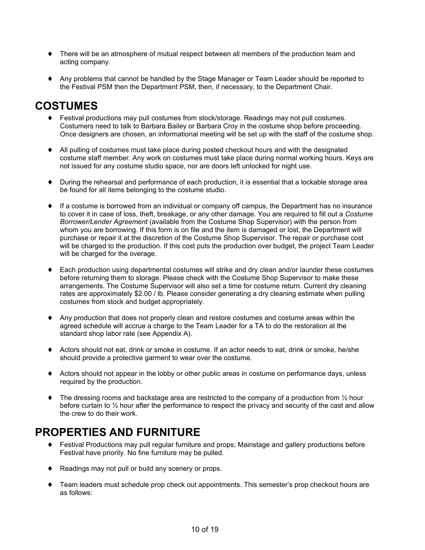- ♦ There will be an atmosphere of mutual respect between all members of the production team and acting company.
- ♦ Any problems that cannot be handled by the Stage Manager or Team Leader should be reported to the Festival PSM then the Department PSM, then, if necessary, to the Department Chair.

# **COSTUMES**

- ♦ Festival productions may pull costumes from stock/storage. Readings may not pull costumes. Costumers need to talk to Barbara Bailey or Barbara Croy in the costume shop before proceeding. Once designers are chosen, an informational meeting will be set up with the staff of the costume shop.
- ♦ All pulling of costumes must take place during posted checkout hours and with the designated costume staff member. Any work on costumes must take place during normal working hours. Keys are not issued for any costume studio space, nor are doors left unlocked for night use.
- ♦ During the rehearsal and performance of each production, it is essential that a lockable storage area be found for all items belonging to the costume studio.
- ♦ If a costume is borrowed from an individual or company off campus, the Department has no insurance to cover it in case of loss, theft, breakage, or any other damage. You are required to fill out a *Costume Borrower/Lender Agreement* (available from the Costume Shop Supervisor) with the person from whom you are borrowing. If this form is on file and the item is damaged or lost, the Department will purchase or repair it at the discretion of the Costume Shop Supervisor. The repair or purchase cost will be charged to the production. If this cost puts the production over budget, the project Team Leader will be charged for the overage.
- ♦ Each production using departmental costumes will strike and dry clean and/or launder these costumes before returning them to storage. Please check with the Costume Shop Supervisor to make these arrangements. The Costume Supervisor will also set a time for costume return. Current dry cleaning rates are approximately \$2.00 / lb. Please consider generating a dry cleaning estimate when pulling costumes from stock and budget appropriately.
- ♦ Any production that does not properly clean and restore costumes and costume areas within the agreed schedule will accrue a charge to the Team Leader for a TA to do the restoration at the standard shop labor rate (see Appendix A).
- ♦ Actors should not eat, drink or smoke in costume. If an actor needs to eat, drink or smoke, he/she should provide a protective garment to wear over the costume.
- ♦ Actors should not appear in the lobby or other public areas in costume on performance days, unless required by the production.
- The dressing rooms and backstage area are restricted to the company of a production from  $\frac{1}{2}$  hour before curtain to ½ hour after the performance to respect the privacy and security of the cast and allow the crew to do their work.

# **PROPERTIES AND FURNITURE**

- Festival Productions may pull regular furniture and props; Mainstage and gallery productions before Festival have priority. No fine furniture may be pulled.
- ♦ Readings may not pull or build any scenery or props.
- ♦ Team leaders must schedule prop check out appointments. This semester's prop checkout hours are as follows: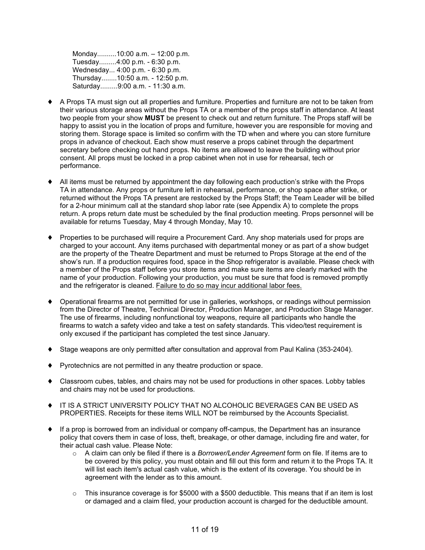Monday..........10:00 a.m. – 12:00 p.m. Tuesday.........4:00 p.m. - 6:30 p.m. Wednesday... 4:00 p.m. - 6:30 p.m. Thursday........10:50 a.m. - 12:50 p.m. Saturday.........9:00 a.m. - 11:30 a.m.

- ♦ A Props TA must sign out all properties and furniture. Properties and furniture are not to be taken from their various storage areas without the Props TA or a member of the props staff in attendance. At least two people from your show **MUST** be present to check out and return furniture. The Props staff will be happy to assist you in the location of props and furniture, however you are responsible for moving and storing them. Storage space is limited so confirm with the TD when and where you can store furniture props in advance of checkout. Each show must reserve a props cabinet through the department secretary before checking out hand props. No items are allowed to leave the building without prior consent. All props must be locked in a prop cabinet when not in use for rehearsal, tech or performance.
- All items must be returned by appointment the day following each production's strike with the Props TA in attendance. Any props or furniture left in rehearsal, performance, or shop space after strike, or returned without the Props TA present are restocked by the Props Staff; the Team Leader will be billed for a 2-hour minimum call at the standard shop labor rate (see Appendix A) to complete the props return. A props return date must be scheduled by the final production meeting. Props personnel will be available for returns Tuesday, May 4 through Monday, May 10.
- ♦ Properties to be purchased will require a Procurement Card. Any shop materials used for props are charged to your account. Any items purchased with departmental money or as part of a show budget are the property of the Theatre Department and must be returned to Props Storage at the end of the show's run. If a production requires food, space in the Shop refrigerator is available. Please check with a member of the Props staff before you store items and make sure items are clearly marked with the name of your production. Following your production, you must be sure that food is removed promptly and the refrigerator is cleaned. Failure to do so may incur additional labor fees.
- ♦ Operational firearms are not permitted for use in galleries, workshops, or readings without permission from the Director of Theatre, Technical Director, Production Manager, and Production Stage Manager. The use of firearms, including nonfunctional toy weapons, require all participants who handle the firearms to watch a safety video and take a test on safety standards. This video/test requirement is only excused if the participant has completed the test since January.
- Stage weapons are only permitted after consultation and approval from Paul Kalina (353-2404).
- Pyrotechnics are not permitted in any theatre production or space.
- ♦ Classroom cubes, tables, and chairs may not be used for productions in other spaces. Lobby tables and chairs may not be used for productions.
- ♦ IT IS A STRICT UNIVERSITY POLICY THAT NO ALCOHOLIC BEVERAGES CAN BE USED AS PROPERTIES. Receipts for these items WILL NOT be reimbursed by the Accounts Specialist.
- ♦ If a prop is borrowed from an individual or company off-campus, the Department has an insurance policy that covers them in case of loss, theft, breakage, or other damage, including fire and water, for their actual cash value. Please Note:
	- o A claim can only be filed if there is a *Borrower/Lender Agreement* form on file. If items are to be covered by this policy, you must obtain and fill out this form and return it to the Props TA. It will list each item's actual cash value, which is the extent of its coverage. You should be in agreement with the lender as to this amount.
	- $\circ$  This insurance coverage is for \$5000 with a \$500 deductible. This means that if an item is lost or damaged and a claim filed, your production account is charged for the deductible amount.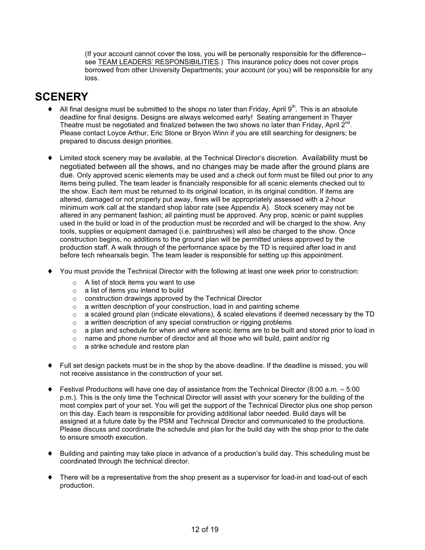(If your account cannot cover the loss, you will be personally responsible for the difference- see TEAM LEADERS' RESPONSIBILITIES.) This insurance policy does not cover props borrowed from other University Departments; your account (or you) will be responsible for any loss.

## **SCENERY**

- $\blacklozenge$  All final designs must be submitted to the shops no later than Friday, April  $9<sup>th</sup>$ . This is an absolute deadline for final designs. Designs are always welcomed early! Seating arrangement in Thayer Theatre must be negotiated and finalized between the two shows no later than Friday, April  $2^{nd}$ . Please contact Loyce Arthur, Eric Stone or Bryon Winn if you are still searching for designers; be prepared to discuss design priorities.
- ♦ Limited stock scenery may be available, at the Technical Director's discretion. Availability must be negotiated between all the shows, and no changes may be made after the ground plans are due. Only approved scenic elements may be used and a check out form must be filled out prior to any items being pulled. The team leader is financially responsible for all scenic elements checked out to the show. Each item must be returned to its original location, in its original condition. If items are altered, damaged or not properly put away, fines will be appropriately assessed with a 2-hour minimum work call at the standard shop labor rate (see Appendix A). Stock scenery may not be altered in any permanent fashion; all painting must be approved. Any prop, scenic or paint supplies used in the build or load in of the production must be recorded and will be charged to the show. Any tools, supplies or equipment damaged (i.e. paintbrushes) will also be charged to the show. Once construction begins, no additions to the ground plan will be permitted unless approved by the production staff. A walk through of the performance space by the TD is required after load in and before tech rehearsals begin. The team leader is responsible for setting up this appointment.
- ♦ You must provide the Technical Director with the following at least one week prior to construction:
	- o A list of stock items you want to use
	- o a list of items you intend to build
	- o construction drawings approved by the Technical Director
	- $\circ$  a written description of your construction, load in and painting scheme
	- $\circ$  a scaled ground plan (indicate elevations), & scaled elevations if deemed necessary by the TD
	- $\circ$  a written description of any special construction or rigging problems
	- o a plan and schedule for when and where scenic items are to be built and stored prior to load in
	- $\circ$  name and phone number of director and all those who will build, paint and/or rig
	- o a strike schedule and restore plan
- Full set design packets must be in the shop by the above deadline. If the deadline is missed, you will not receive assistance in the construction of your set.
- ♦ Festival Productions will have one day of assistance from the Technical Director (8:00 a.m. 5:00 p.m.). This is the only time the Technical Director will assist with your scenery for the building of the most complex part of your set. You will get the support of the Technical Director plus one shop person on this day. Each team is responsible for providing additional labor needed. Build days will be assigned at a future date by the PSM and Technical Director and communicated to the productions. Please discuss and coordinate the schedule and plan for the build day with the shop prior to the date to ensure smooth execution.
- ♦ Building and painting may take place in advance of a production's build day. This scheduling must be coordinated through the technical director.
- ♦ There will be a representative from the shop present as a supervisor for load-in and load-out of each production.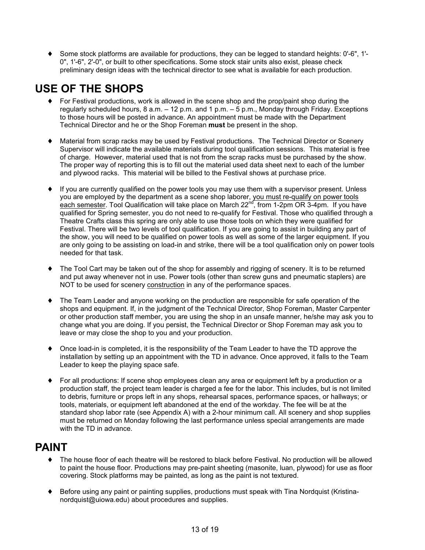♦ Some stock platforms are available for productions, they can be legged to standard heights: 0'-6", 1'- 0", 1'-6", 2'-0", or built to other specifications. Some stock stair units also exist, please check preliminary design ideas with the technical director to see what is available for each production.

# **USE OF THE SHOPS**

- ♦ For Festival productions, work is allowed in the scene shop and the prop/paint shop during the regularly scheduled hours, 8 a.m. – 12 p.m. and 1 p.m. – 5 p.m., Monday through Friday. Exceptions to those hours will be posted in advance. An appointment must be made with the Department Technical Director and he or the Shop Foreman **must** be present in the shop.
- Material from scrap racks may be used by Festival productions. The Technical Director or Scenery Supervisor will indicate the available materials during tool qualification sessions. This material is free of charge. However, material used that is not from the scrap racks must be purchased by the show. The proper way of reporting this is to fill out the material used data sheet next to each of the lumber and plywood racks. This material will be billed to the Festival shows at purchase price.
- ♦ If you are currently qualified on the power tools you may use them with a supervisor present. Unless you are employed by the department as a scene shop laborer, you must re-qualify on power tools each semester. Tool Qualification will take place on March 22<sup>nd</sup>, from 1-2pm OR 3-4pm. If you have qualified for Spring semester, you do not need to re-qualify for Festival. Those who qualified through a Theatre Crafts class this spring are only able to use those tools on which they were qualified for Festival. There will be two levels of tool qualification. If you are going to assist in building any part of the show, you will need to be qualified on power tools as well as some of the larger equipment. If you are only going to be assisting on load-in and strike, there will be a tool qualification only on power tools needed for that task.
- ♦ The Tool Cart may be taken out of the shop for assembly and rigging of scenery. It is to be returned and put away whenever not in use. Power tools (other than screw guns and pneumatic staplers) are NOT to be used for scenery construction in any of the performance spaces.
- ♦ The Team Leader and anyone working on the production are responsible for safe operation of the shops and equipment. If, in the judgment of the Technical Director, Shop Foreman, Master Carpenter or other production staff member, you are using the shop in an unsafe manner, he/she may ask you to change what you are doing. If you persist, the Technical Director or Shop Foreman may ask you to leave or may close the shop to you and your production.
- ♦ Once load-in is completed, it is the responsibility of the Team Leader to have the TD approve the installation by setting up an appointment with the TD in advance. Once approved, it falls to the Team Leader to keep the playing space safe.
- For all productions: If scene shop employees clean any area or equipment left by a production or a production staff, the project team leader is charged a fee for the labor. This includes, but is not limited to debris, furniture or props left in any shops, rehearsal spaces, performance spaces, or hallways; or tools, materials, or equipment left abandoned at the end of the workday. The fee will be at the standard shop labor rate (see Appendix A) with a 2-hour minimum call. All scenery and shop supplies must be returned on Monday following the last performance unless special arrangements are made with the TD in advance.

### **PAINT**

- ♦ The house floor of each theatre will be restored to black before Festival. No production will be allowed to paint the house floor. Productions may pre-paint sheeting (masonite, luan, plywood) for use as floor covering. Stock platforms may be painted, as long as the paint is not textured.
- ♦ Before using any paint or painting supplies, productions must speak with Tina Nordquist (Kristinanordquist@uiowa.edu) about procedures and supplies.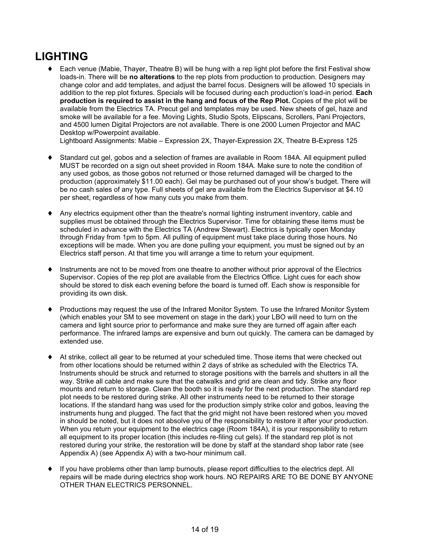# **LIGHTING**

♦ Each venue (Mabie, Thayer, Theatre B) will be hung with a rep light plot before the first Festival show loads-in. There will be **no alterations** to the rep plots from production to production. Designers may change color and add templates, and adjust the barrel focus. Designers will be allowed 10 specials in addition to the rep plot fixtures. Specials will be focused during each production's load-in period. **Each production is required to assist in the hang and focus of the Rep Plot.** Copies of the plot will be available from the Electrics TA. Precut gel and templates may be used. New sheets of gel, haze and smoke will be available for a fee. Moving Lights, Studio Spots, Elipscans, Scrollers, Pani Projectors, and 4500 lumen Digital Projectors are not available. There is one 2000 Lumen Projector and MAC Desktop w/Powerpoint available.

Lightboard Assignments: Mabie – Expression 2X, Thayer-Expression 2X, Theatre B-Express 125

- ♦ Standard cut gel, gobos and a selection of frames are available in Room 184A. All equipment pulled MUST be recorded on a sign out sheet provided in Room 184A. Make sure to note the condition of any used gobos, as those gobos not returned or those returned damaged will be charged to the production (approximately \$11.00 each). Gel may be purchased out of your show's budget. There will be no cash sales of any type. Full sheets of gel are available from the Electrics Supervisor at \$4.10 per sheet, regardless of how many cuts you make from them.
- Any electrics equipment other than the theatre's normal lighting instrument inventory, cable and supplies must be obtained through the Electrics Supervisor. Time for obtaining these items must be scheduled in advance with the Electrics TA (Andrew Stewart). Electrics is typically open Monday through Friday from 1pm to 5pm. All pulling of equipment must take place during those hours. No exceptions will be made. When you are done pulling your equipment, you must be signed out by an Electrics staff person. At that time you will arrange a time to return your equipment.
- Instruments are not to be moved from one theatre to another without prior approval of the Electrics Supervisor. Copies of the rep plot are available from the Electrics Office. Light cues for each show should be stored to disk each evening before the board is turned off. Each show is responsible for providing its own disk.
- Productions may request the use of the Infrared Monitor System. To use the Infrared Monitor System (which enables your SM to see movement on stage in the dark) your LBO will need to turn on the camera and light source prior to performance and make sure they are turned off again after each performance. The infrared lamps are expensive and burn out quickly. The camera can be damaged by extended use.
- ♦ At strike, collect all gear to be returned at your scheduled time. Those items that were checked out from other locations should be returned within 2 days of strike as scheduled with the Electrics TA. Instruments should be struck and returned to storage positions with the barrels and shutters in all the way. Strike all cable and make sure that the catwalks and grid are clean and tidy. Strike any floor mounts and return to storage. Clean the booth so it is ready for the next production. The standard rep plot needs to be restored during strike. All other instruments need to be returned to their storage locations. If the standard hang was used for the production simply strike color and gobos, leaving the instruments hung and plugged. The fact that the grid might not have been restored when you moved in should be noted, but it does not absolve you of the responsibility to restore it after your production. When you return your equipment to the electrics cage (Room 184A), it is your responsibility to return all equipment to its proper location (this includes re-filing cut gels). If the standard rep plot is not restored during your strike, the restoration will be done by staff at the standard shop labor rate (see Appendix A) (see Appendix A) with a two-hour minimum call.
- If you have problems other than lamp burnouts, please report difficulties to the electrics dept. All repairs will be made during electrics shop work hours. NO REPAIRS ARE TO BE DONE BY ANYONE OTHER THAN ELECTRICS PERSONNEL.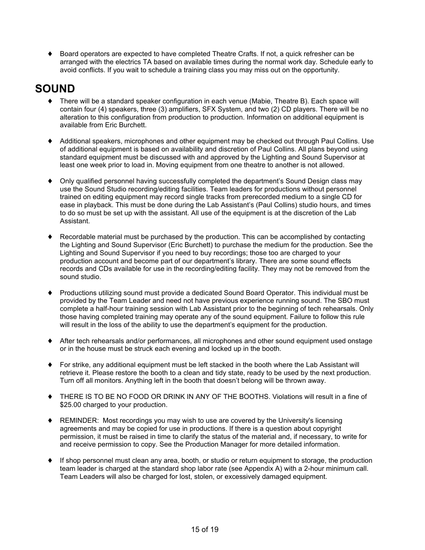♦ Board operators are expected to have completed Theatre Crafts. If not, a quick refresher can be arranged with the electrics TA based on available times during the normal work day. Schedule early to avoid conflicts. If you wait to schedule a training class you may miss out on the opportunity.

## **SOUND**

- ♦ There will be a standard speaker configuration in each venue (Mabie, Theatre B). Each space will contain four (4) speakers, three (3) amplifiers, SFX System, and two (2) CD players. There will be no alteration to this configuration from production to production. Information on additional equipment is available from Eric Burchett.
- Additional speakers, microphones and other equipment may be checked out through Paul Collins. Use of additional equipment is based on availability and discretion of Paul Collins. All plans beyond using standard equipment must be discussed with and approved by the Lighting and Sound Supervisor at least one week prior to load in. Moving equipment from one theatre to another is not allowed.
- ♦ Only qualified personnel having successfully completed the department's Sound Design class may use the Sound Studio recording/editing facilities. Team leaders for productions without personnel trained on editing equipment may record single tracks from prerecorded medium to a single CD for ease in playback. This must be done during the Lab Assistant's (Paul Collins) studio hours, and times to do so must be set up with the assistant. All use of the equipment is at the discretion of the Lab Assistant.
- ♦ Recordable material must be purchased by the production. This can be accomplished by contacting the Lighting and Sound Supervisor (Eric Burchett) to purchase the medium for the production. See the Lighting and Sound Supervisor if you need to buy recordings; those too are charged to your production account and become part of our department's library. There are some sound effects records and CDs available for use in the recording/editing facility. They may not be removed from the sound studio.
- ♦ Productions utilizing sound must provide a dedicated Sound Board Operator. This individual must be provided by the Team Leader and need not have previous experience running sound. The SBO must complete a half-hour training session with Lab Assistant prior to the beginning of tech rehearsals. Only those having completed training may operate any of the sound equipment. Failure to follow this rule will result in the loss of the ability to use the department's equipment for the production.
- ♦ After tech rehearsals and/or performances, all microphones and other sound equipment used onstage or in the house must be struck each evening and locked up in the booth.
- ♦ For strike, any additional equipment must be left stacked in the booth where the Lab Assistant will retrieve it. Please restore the booth to a clean and tidy state, ready to be used by the next production. Turn off all monitors. Anything left in the booth that doesn't belong will be thrown away.
- ♦ THERE IS TO BE NO FOOD OR DRINK IN ANY OF THE BOOTHS. Violations will result in a fine of \$25.00 charged to your production.
- ♦ REMINDER: Most recordings you may wish to use are covered by the University's licensing agreements and may be copied for use in productions. If there is a question about copyright permission, it must be raised in time to clarify the status of the material and, if necessary, to write for and receive permission to copy. See the Production Manager for more detailed information.
- ♦ If shop personnel must clean any area, booth, or studio or return equipment to storage, the production team leader is charged at the standard shop labor rate (see Appendix A) with a 2-hour minimum call. Team Leaders will also be charged for lost, stolen, or excessively damaged equipment.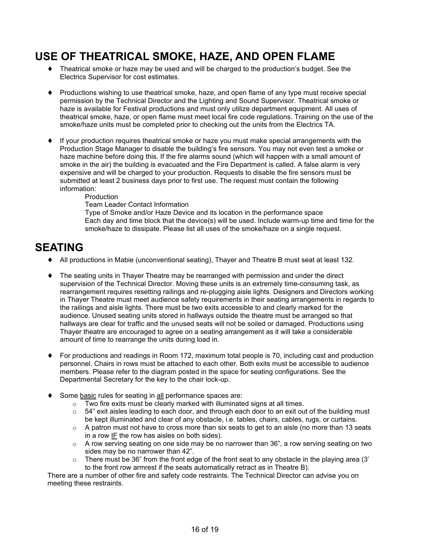### **USE OF THEATRICAL SMOKE, HAZE, AND OPEN FLAME**

- ♦ Theatrical smoke or haze may be used and will be charged to the production's budget. See the Electrics Supervisor for cost estimates.
- ♦ Productions wishing to use theatrical smoke, haze, and open flame of any type must receive special permission by the Technical Director and the Lighting and Sound Supervisor. Theatrical smoke or haze is available for Festival productions and must only utilize department equipment. All uses of theatrical smoke, haze, or open flame must meet local fire code regulations. Training on the use of the smoke/haze units must be completed prior to checking out the units from the Electrics TA.
- ♦ If your production requires theatrical smoke or haze you must make special arrangements with the Production Stage Manager to disable the building's fire sensors. You may not even test a smoke or haze machine before doing this. If the fire alarms sound (which will happen with a small amount of smoke in the air) the building is evacuated and the Fire Department is called. A false alarm is very expensive and will be charged to your production. Requests to disable the fire sensors must be submitted at least 2 business days prior to first use. The request must contain the following information:

#### Production

Team Leader Contact Information

Type of Smoke and/or Haze Device and its location in the performance space Each day and time block that the device(s) will be used. Include warm-up time and time for the smoke/haze to dissipate. Please list all uses of the smoke/haze on a single request.

### **SEATING**

- ♦ All productions in Mabie (unconventional seating), Thayer and Theatre B must seat at least 132.
- ♦ The seating units in Thayer Theatre may be rearranged with permission and under the direct supervision of the Technical Director. Moving these units is an extremely time-consuming task, as rearrangement requires resetting railings and re-plugging aisle lights. Designers and Directors working in Thayer Theatre must meet audience safety requirements in their seating arrangements in regards to the railings and aisle lights. There must be two exits accessible to and clearly marked for the audience. Unused seating units stored in hallways outside the theatre must be arranged so that hallways are clear for traffic and the unused seats will not be soiled or damaged. Productions using Thayer theatre are encouraged to agree on a seating arrangement as it will take a considerable amount of time to rearrange the units during load in.
- ♦ For productions and readings in Room 172, maximum total people is 70, including cast and production personnel. Chairs in rows must be attached to each other. Both exits must be accessible to audience members. Please refer to the diagram posted in the space for seating configurations. See the Departmental Secretary for the key to the chair lock-up.
- Some basic rules for seating in all performance spaces are:
	- o Two fire exits must be clearly marked with illuminated signs at all times.
	- $\circ$  54" exit aisles leading to each door, and through each door to an exit out of the building must be kept illuminated and clear of any obstacle, i.e. tables, chairs, cables, rugs, or curtains.
	- $\circ$  A patron must not have to cross more than six seats to get to an aisle (no more than 13 seats in a row IF the row has aisles on both sides).
	- $\circ$  A row serving seating on one side may be no narrower than 36", a row serving seating on two sides may be no narrower than 42".
	- $\circ$  There must be 36" from the front edge of the front seat to any obstacle in the playing area (3') to the front row armrest if the seats automatically retract as in Theatre B).

There are a number of other fire and safety code restraints. The Technical Director can advise you on meeting these restraints.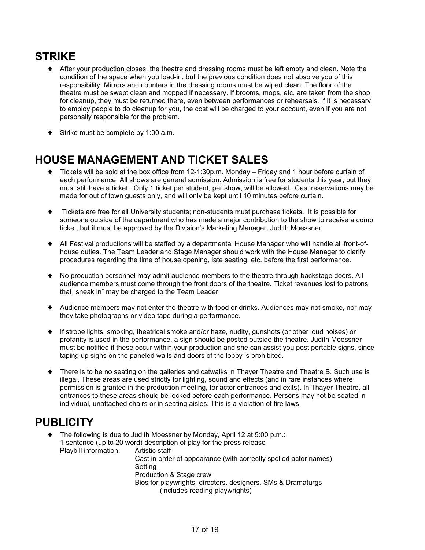# **STRIKE**

- ♦ After your production closes, the theatre and dressing rooms must be left empty and clean. Note the condition of the space when you load-in, but the previous condition does not absolve you of this responsibility. Mirrors and counters in the dressing rooms must be wiped clean. The floor of the theatre must be swept clean and mopped if necessary. If brooms, mops, etc. are taken from the shop for cleanup, they must be returned there, even between performances or rehearsals. If it is necessary to employ people to do cleanup for you, the cost will be charged to your account, even if you are not personally responsible for the problem.
- ♦ Strike must be complete by 1:00 a.m.

# **HOUSE MANAGEMENT AND TICKET SALES**

- ♦ Tickets will be sold at the box office from 12-1:30p.m. Monday Friday and 1 hour before curtain of each performance. All shows are general admission. Admission is free for students this year, but they must still have a ticket. Only 1 ticket per student, per show, will be allowed. Cast reservations may be made for out of town guests only, and will only be kept until 10 minutes before curtain.
- ♦ Tickets are free for all University students; non-students must purchase tickets. It is possible for someone outside of the department who has made a major contribution to the show to receive a comp ticket, but it must be approved by the Division's Marketing Manager, Judith Moessner.
- ♦ All Festival productions will be staffed by a departmental House Manager who will handle all front-ofhouse duties. The Team Leader and Stage Manager should work with the House Manager to clarify procedures regarding the time of house opening, late seating, etc. before the first performance.
- ♦ No production personnel may admit audience members to the theatre through backstage doors. All audience members must come through the front doors of the theatre. Ticket revenues lost to patrons that "sneak in" may be charged to the Team Leader.
- ♦ Audience members may not enter the theatre with food or drinks. Audiences may not smoke, nor may they take photographs or video tape during a performance.
- If strobe lights, smoking, theatrical smoke and/or haze, nudity, gunshots (or other loud noises) or profanity is used in the performance, a sign should be posted outside the theatre. Judith Moessner must be notified if these occur within your production and she can assist you post portable signs, since taping up signs on the paneled walls and doors of the lobby is prohibited.
- ♦ There is to be no seating on the galleries and catwalks in Thayer Theatre and Theatre B. Such use is illegal. These areas are used strictly for lighting, sound and effects (and in rare instances where permission is granted in the production meeting, for actor entrances and exits). In Thayer Theatre, all entrances to these areas should be locked before each performance. Persons may not be seated in individual, unattached chairs or in seating aisles. This is a violation of fire laws.

# **PUBLICITY**

- ♦ The following is due to Judith Moessner by Monday, April 12 at 5:00 p.m.: 1 sentence (up to 20 word) description of play for the press release Playbill information: Artistic staff Cast in order of appearance (with correctly spelled actor names) Setting Production & Stage crew
	- Bios for playwrights, directors, designers, SMs & Dramaturgs (includes reading playwrights)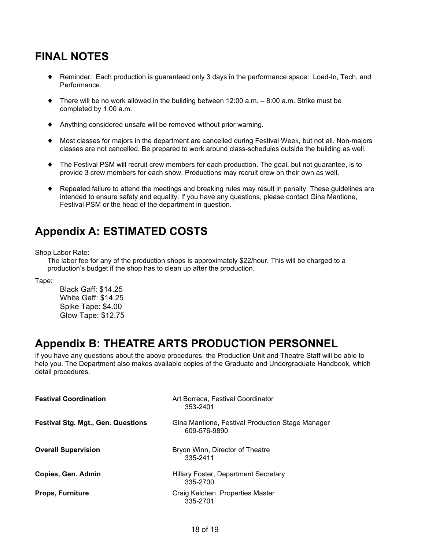# **FINAL NOTES**

- ♦ Reminder: Each production is guaranteed only 3 days in the performance space: Load-In, Tech, and Performance.
- $\blacklozenge$  There will be no work allowed in the building between 12:00 a.m.  $-8:00$  a.m. Strike must be completed by 1:00 a.m.
- ♦ Anything considered unsafe will be removed without prior warning.
- Most classes for majors in the department are cancelled during Festival Week, but not all. Non-majors classes are not cancelled. Be prepared to work around class-schedules outside the building as well.
- ♦ The Festival PSM will recruit crew members for each production. The goal, but not guarantee, is to provide 3 crew members for each show. Productions may recruit crew on their own as well.
- ♦ Repeated failure to attend the meetings and breaking rules may result in penalty. These guidelines are intended to ensure safety and equality. If you have any questions, please contact Gina Mantione, Festival PSM or the head of the department in question.

# **Appendix A: ESTIMATED COSTS**

Shop Labor Rate:

The labor fee for any of the production shops is approximately \$22/hour. This will be charged to a production's budget if the shop has to clean up after the production.

Tape:

Black Gaff: \$14.25 White Gaff: \$14.25 Spike Tape: \$4.00 Glow Tape: \$12.75

### **Appendix B: THEATRE ARTS PRODUCTION PERSONNEL**

If you have any questions about the above procedures, the Production Unit and Theatre Staff will be able to help you. The Department also makes available copies of the Graduate and Undergraduate Handbook, which detail procedures.

| <b>Festival Coordination</b>              | Art Borreca, Festival Coordinator<br>353-2401                    |
|-------------------------------------------|------------------------------------------------------------------|
| <b>Festival Stg. Mgt., Gen. Questions</b> | Gina Mantione, Festival Production Stage Manager<br>609-576-9890 |
| <b>Overall Supervision</b>                | Bryon Winn, Director of Theatre<br>335-2411                      |
| Copies, Gen. Admin                        | Hillary Foster, Department Secretary<br>335-2700                 |
| <b>Props, Furniture</b>                   | Craig Kelchen, Properties Master<br>335-2701                     |